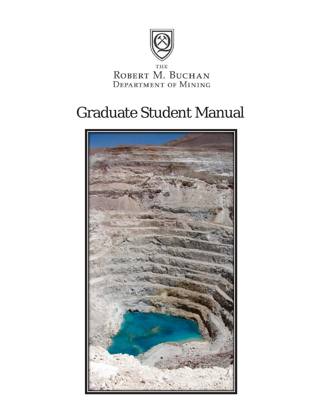

 $\begin{array}{ll}\n\text{the} \\
\text{Robert M. Buchan}\n\end{array}$ **DEPARTMENT OF MINING** 

# Graduate Student Manual

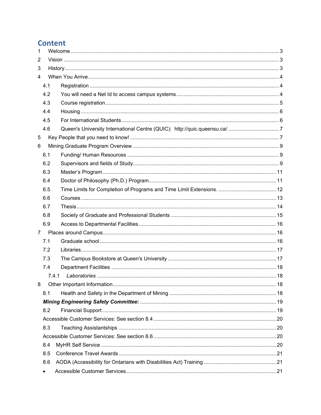# **Content**

| $\mathbf{1}$ |           |                                                                           |  |  |
|--------------|-----------|---------------------------------------------------------------------------|--|--|
| 2            |           |                                                                           |  |  |
| 3            |           |                                                                           |  |  |
| 4            |           |                                                                           |  |  |
|              | 4.1       |                                                                           |  |  |
|              | 4.2       |                                                                           |  |  |
|              | 4.3       |                                                                           |  |  |
|              | 4.4       |                                                                           |  |  |
|              | 4.5       |                                                                           |  |  |
|              | 4.6       | Queen's University International Centre (QUIC): http://quic.queensu.ca/ 7 |  |  |
| 5            |           |                                                                           |  |  |
| 6            |           |                                                                           |  |  |
|              | 6.1       |                                                                           |  |  |
|              | 6.2       |                                                                           |  |  |
|              | 6.3       |                                                                           |  |  |
|              | 6.4       |                                                                           |  |  |
|              | 6.5       |                                                                           |  |  |
|              | 6.6       |                                                                           |  |  |
|              | 6.7       |                                                                           |  |  |
|              | 6.8       |                                                                           |  |  |
|              | 6.9       |                                                                           |  |  |
| $7^{\circ}$  |           |                                                                           |  |  |
|              | 7.1       |                                                                           |  |  |
|              | 7.2       |                                                                           |  |  |
|              | 7.3       |                                                                           |  |  |
|              | 7.4       |                                                                           |  |  |
|              |           | 7.4.1                                                                     |  |  |
| 8            |           |                                                                           |  |  |
|              | 8.1       |                                                                           |  |  |
|              |           |                                                                           |  |  |
|              | 8.2       |                                                                           |  |  |
|              |           |                                                                           |  |  |
|              | 8.3       |                                                                           |  |  |
|              |           |                                                                           |  |  |
|              | 8.4       |                                                                           |  |  |
|              | 8.5       |                                                                           |  |  |
|              | 8.6       |                                                                           |  |  |
|              | $\bullet$ |                                                                           |  |  |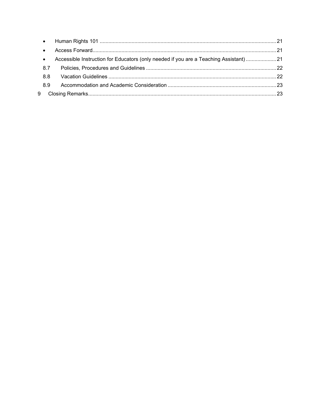| $\bullet$ |                                                                                       |  |
|-----------|---------------------------------------------------------------------------------------|--|
| $\bullet$ |                                                                                       |  |
| $\bullet$ | Accessible Instruction for Educators (only needed if you are a Teaching Assistant) 21 |  |
| 8.7       |                                                                                       |  |
| 88        |                                                                                       |  |
| 8.9       |                                                                                       |  |
| 9         |                                                                                       |  |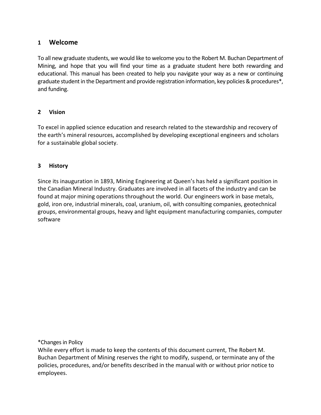# <span id="page-3-0"></span>**1 Welcome**

To all new graduate students, we would like to welcome you to the Robert M. Buchan Department of Mining, and hope that you will find your time as a graduate student here both rewarding and educational. This manual has been created to help you navigate your way as a new or continuing graduate student in the Department and provide registration information, key policies & procedures\*, and funding.

## <span id="page-3-1"></span>**2 Vision**

To excel in applied science education and research related to the stewardship and recovery of the earth's mineral resources, accomplished by developing exceptional engineers and scholars for a sustainable global society.

# <span id="page-3-2"></span>**3 History**

Since its inauguration in 1893, Mining Engineering at Queen's has held a significant position in the Canadian Mineral Industry. Graduates are involved in all facets of the industry and can be found at major mining operations throughout the world. Our engineers work in base metals, gold, iron ore, industrial minerals, coal, uranium, oil, with consulting companies, geotechnical groups, environmental groups, heavy and light equipment manufacturing companies, computer software

\*Changes in Policy

While every effort is made to keep the contents of this document current, The Robert M. Buchan Department of Mining reserves the right to modify, suspend, or terminate any of the policies, procedures, and/or benefits described in the manual with or without prior notice to employees.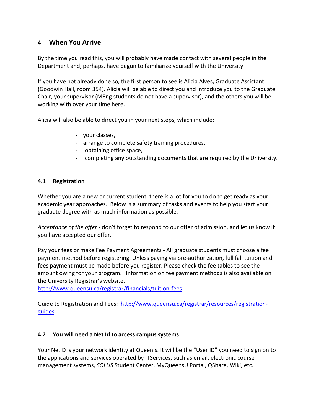# <span id="page-4-0"></span>**4 When You Arrive**

By the time you read this, you will probably have made contact with several people in the Department and, perhaps, have begun to familiarize yourself with the University.

If you have not already done so, the first person to see is Alicia Alves, Graduate Assistant (Goodwin Hall, room 354). Alicia will be able to direct you and introduce you to the Graduate Chair, your supervisor (MEng students do not have a supervisor), and the others you will be working with over your time here.

Alicia will also be able to direct you in your next steps, which include:

- your classes,
- arrange to complete safety training procedures,
- obtaining office space,
- completing any outstanding documents that are required by the University.

## <span id="page-4-1"></span>**4.1 Registration**

Whether you are a new or current student, there is a lot for you to do to get ready as your academic year approaches. Below is a summary of tasks and events to help you start your graduate degree with as much information as possible.

*[Acceptance of the offer](https://eservices.queensu.ca/apps/sgsapp/)* - don't forget to respond to our offer of admission, and let us know if you have accepted our offer.

Pay your fees or make Fee Payment Agreements - All graduate students must choose a fee payment method before registering. Unless paying via pre-authorization, full fall tuition and fees payment must be made before you register. Please check the [fee tables](http://www.queensu.ca/registrar/currentstudents/fees.html) to see the amount owing for your program. Information on fee payment methods is also available on the [University Registrar's website.](http://www.queensu.ca/registrar/currentstudents/fees/payment.html)

<http://www.queensu.ca/registrar/financials/tuition-fees>

Guide to Registration and Fees: [http://www.queensu.ca/registrar/resources/registration](http://www.queensu.ca/registrar/resources/registration-guides)[guides](http://www.queensu.ca/registrar/resources/registration-guides)

#### <span id="page-4-2"></span>**4.2 You will need a Net Id to access campus systems**

Your NetID is your network identity at Queen's. It will be the "User ID" you need to sign on to the applications and services operated by ITServices, such as email, electronic course management systems, *SOLUS* Student Center, MyQueensU Portal, QShare, Wiki, etc.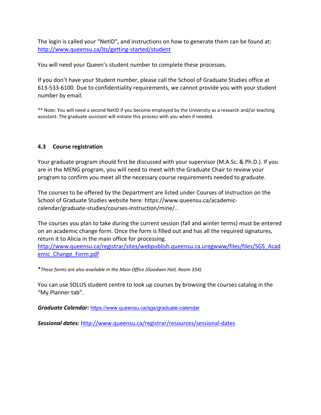The login is called your "NetID", and instructions on how to generate them can be found at: <http://www.queensu.ca/its/getting-started/student>

You will need your Queen's student number to complete these processes.

If you don't have your Student number, please call the School of Graduate Studies office at 613-533-6100. Due to confidentiality requirements, we cannot provide you with your student number by email.

\*\* Note: You will need a second NetID if you become employed by the University as a research and/or teaching assistant. The graduate assistant will initiate this process with you when if needed.

# <span id="page-5-0"></span>**4.3 [Course](http://www.queensu.ca/sgs/orientation/rego.html) registration**

Your graduate program should first be discussed with your supervisor (M.A.Sc. & Ph.D.). If you are in the MENG program, you will need to meet with the Graduate Chair to review your program to confirm you meet all the necessary course requirements needed to graduate.

The courses to be offered by the Department are listed under Courses of Instruction on the School of Graduate Studies website here: https://www.queensu.ca/academiccalendar/graduate-studies/courses-instruction/mine/..

The courses you plan to take during the current session (fall and winter terms) must be entered on an academic change form. Once the form is filled out and has all the required signatures, return it to Alicia in the main office for processing.

[http://www.queensu.ca/registrar/sites/webpublish.queensu.ca.uregwww/files/files/SGS\\_Acad](http://www.queensu.ca/registrar/sites/webpublish.queensu.ca.uregwww/files/files/SGS_Academic_Change_Form.pdf) emic Change Form.pdf

\**These forms are also available in the Main Office (Goodwin Hall, Room 354).*

You can use SOLUS student centre to look up courses by browsing the courses catalog in the "My Planner tab".

*Graduate Calendar:* <https://www.queensu.ca/sgs/graduate-calendar>

*Sessional dates:* <http://www.queensu.ca/registrar/resources/sessional-dates>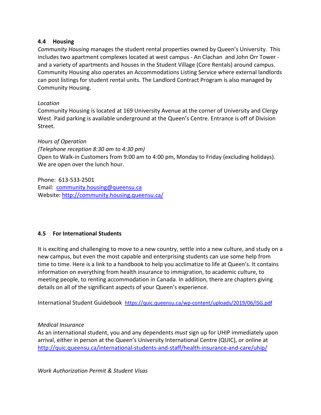# <span id="page-6-0"></span>**4.4 Housing**

*Community Housing* manages the student rental properties owned by Queen's University. This includes two apartment complexes located at west campus - [An Clachan](http://housing.queensu.ca/community_housing/anclachan.asp) an[d John Orr Tower](http://housing.queensu.ca/community_housing/johnorrtower.asp)  and a variety of apartments and houses in th[e Student Village](http://housing.queensu.ca/community_housing/CORERENTALGROUP.ASP) (Core Rentals) around campus. Community Housing also operates an [Accommodations Listing Service w](http://housing.queensu.ca/community_housing/accommodationlistingservice.asp)here external landlords can post listings for student rental units. The [Landlord Contract Program](http://housing.queensu.ca/community_housing/landlordcontractprogram.asp) is also managed by Community Housing.

# *Location*

Community Housing is located at 169 University Avenue at the corner of University and Clergy West. Paid parking is available underground at the Queen's Centre. Entrance is off of Division Street.

## *Hours of Operation*

*(Telephone reception 8:30 am to 4:30 pm)* Open to Walk-in Customers from 9:00 am to 4:00 pm, Monday to Friday (excluding holidays). We are open over the lunch hour.

Phone: 613-533-2501 Email: [community.housing@queensu.ca](mailto:community.housing@queensu.ca) Website:<http://community.housing.queensu.ca/>

# <span id="page-6-1"></span>**4.5 For International Students**

It is exciting and challenging to move to a new country, settle into a new culture, and study on a new campus, but even the most capable and enterprising students can use some help from time to time. Here is a link to a handbook to help you acclimatize to life at Queen's. It contains information on everything from health insurance to immigration, to academic culture, to meeting people, to renting accommodation in Canada. In addition, there are chapters giving details on all of the significant aspects of your Queen's experience.

International Student Guidebook <https://quic.queensu.ca/wp-content/uploads/2019/06/ISG.pdf>

#### *[Medical Insurance](http://www.queensu.ca/sgs/orientation/uhip.html)*

As an international student, you and any dependents *must* sign up for UHIP immediately upon arrival, either in person at the Queen's University International Centre (QUIC), or online at <http://quic.queensu.ca/international-students-and-staff/health-insurance-and-care/uhip/>

*Work Authorization Permit & Student Visas*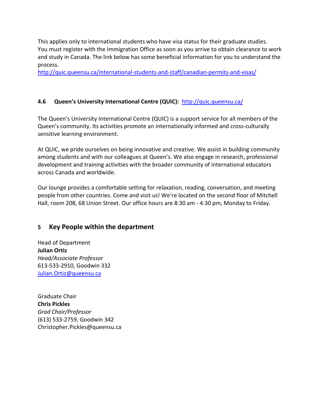This applies only to international students who have visa status for their graduate studies. You must register with the Immigration Office as soon as you arrive to obtain clearance to work and study in Canada. The link below has some beneficial information for you to understand the process.

<http://quic.queensu.ca/international-students-and-staff/canadian-permits-and-visas/>

# <span id="page-7-0"></span>**4.6 Queen's University International Centre (QUIC):** <http://quic.queensu.ca/>

The Queen's University International Centre (QUIC) is a support service for all members of the Queen's community. Its activities promote an internationally informed and cross-culturally sensitive learning environment.

At QUIC, we pride ourselves on being innovative and creative. We assist in building community among students and with our colleagues at Queen's. We also engage in research, professional development and training activities with the broader community of international educators across Canada and worldwide.

Our lounge provides a comfortable setting for relaxation, reading, conversation, and meeting people from other countries. Come and visit us! We're located on the second floor of Mitchell Hall, room 208, 68 Union Street. Our office hours are 8:30 am - 4:30 pm, Monday to Friday.

# <span id="page-7-1"></span>**5 Key People within the department**

Head of Department **Julian Ortiz** *Head/Associate Professor* 613-533-2910, Goodwin 332 Julian.Ortiz@queensu.ca

Graduate Chair **Chris Pickles** *Grad Chair/Professor* (613) 533-2759, Goodwin 342 Christopher.Pickles@queensu.ca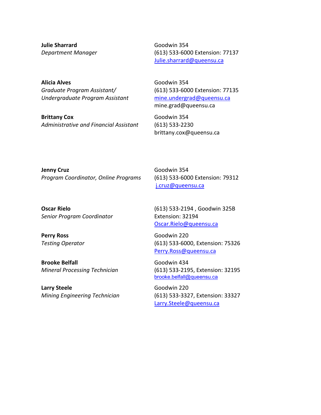**Julie Sharrard** *Department Manager* 

**Alicia Alves** *Graduate Program Assistant/ Undergraduate Program Assistant*

**Brittany Cox** *Administrative and Financial Assistant*

Goodwin 354 (613) 533-6000 Extension: 77137 Julie.sharrard@queensu.ca

Goodwin 354 (613) 533-6000 Extension: 77135 [mine.undergrad@queensu.ca](mailto:mine.undergrad@queensu.ca) mine.grad@queensu.ca

Goodwin 354 (613) 533-2230 brittany.cox@queensu.ca

**Jenny Cruz**  *Program Coordinator, Online Programs*

**Oscar Rielo** *Senior Program Coordinator*

**Perry Ross**  *Testing Operator* 

**Brooke Belfall** *Mineral Processing Technician* 

**Larry Steele** *Mining Engineering Technician* Goodwin 354 (613) 533-6000 Extension: 79312 j.cruz@queensu.ca

(613) 533-2194 , Goodwin 325B Extension: 32194 [Oscar.Rielo@queensu.ca](mailto:Oscar.Rielo@queensu.ca)

Goodwin 220 (613) 533-6000, Extension: 75326 [Perry.Ross@queensu.ca](mailto:Perry.Ross@queensu.ca)

Goodwin 434 (613) 533-2195, Extension: 32195 [brooke.belfall@queensu.ca](mailto:brooke.belfall@queensu.ca)

Goodwin 220 (613) 533-3327, Extension: 33327 [Larry.Steele@queensu.ca](mailto:Larry.Steele@queensu.ca)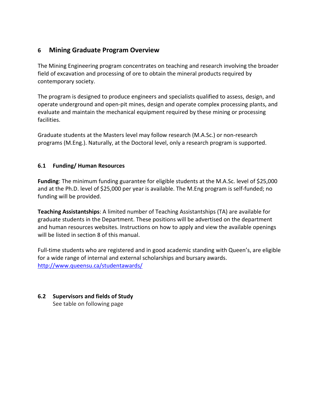# <span id="page-9-0"></span>**6 Mining Graduate Program Overview**

The Mining Engineering program concentrates on teaching and research involving the broader field of excavation and processing of ore to obtain the mineral products required by contemporary society.

The program is designed to produce engineers and specialists qualified to assess, design, and operate underground and open-pit mines, design and operate complex processing plants, and evaluate and maintain the mechanical equipment required by these mining or processing facilities.

Graduate students at the Masters level may follow research (M.A.Sc.) or non-research programs (M.Eng.). Naturally, at the Doctoral level, only a research program is supported.

# <span id="page-9-1"></span>**6.1 Funding/ Human Resources**

**Funding**: The minimum funding guarantee for eligible students at the M.A.Sc. level of \$25,000 and at the Ph.D. level of \$25,000 per year is available. The M.Eng program is self-funded; no funding will be provided.

**Teaching Assistantships**: A limited number of Teaching Assistantships (TA) are available for graduate students in the Department. These positions will be advertised on the department and human resources websites. Instructions on how to apply and view the available openings will be listed in section 8 of this manual.

Full-time students who are registered and in good academic standing with Queen's, are eligible for a wide range of internal and external scholarships and bursary awards. <http://www.queensu.ca/studentawards/>

# <span id="page-9-2"></span>**6.2 Supervisors and fields of Study**

See table on following page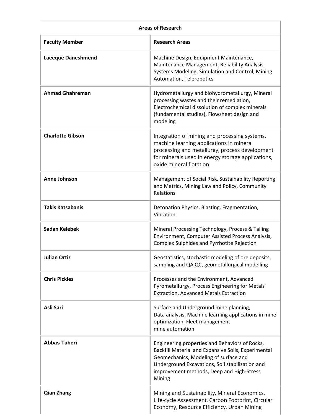| <b>Areas of Research</b>  |                                                                                                                                                                                                                                                          |  |  |
|---------------------------|----------------------------------------------------------------------------------------------------------------------------------------------------------------------------------------------------------------------------------------------------------|--|--|
| <b>Faculty Member</b>     | <b>Research Areas</b>                                                                                                                                                                                                                                    |  |  |
| <b>Laeeque Daneshmend</b> | Machine Design, Equipment Maintenance,<br>Maintenance Management, Reliability Analysis,<br>Systems Modeling, Simulation and Control, Mining<br>Automation, Telerobotics                                                                                  |  |  |
| <b>Ahmad Ghahreman</b>    | Hydrometallurgy and biohydrometallurgy, Mineral<br>processing wastes and their remediation,<br>Electrochemical dissolution of complex minerals<br>(fundamental studies), Flowsheet design and<br>modeling                                                |  |  |
| <b>Charlotte Gibson</b>   | Integration of mining and processing systems,<br>machine learning applications in mineral<br>processing and metallurgy, process development<br>for minerals used in energy storage applications,<br>oxide mineral flotation                              |  |  |
| <b>Anne Johnson</b>       | Management of Social Risk, Sustainability Reporting<br>and Metrics, Mining Law and Policy, Community<br>Relations                                                                                                                                        |  |  |
| <b>Takis Katsabanis</b>   | Detonation Physics, Blasting, Fragmentation,<br>Vibration                                                                                                                                                                                                |  |  |
| Sadan Kelebek             | Mineral Processing Technology, Process & Tailing<br>Environment, Computer Assisted Process Analysis,<br>Complex Sulphides and Pyrrhotite Rejection                                                                                                       |  |  |
| <b>Julian Ortiz</b>       | Geostatistics, stochastic modeling of ore deposits,<br>sampling and QA QC, geometallurgical modelling                                                                                                                                                    |  |  |
| <b>Chris Pickles</b>      | Processes and the Environment, Advanced<br>Pyrometallurgy, Process Engineering for Metals<br><b>Extraction, Advanced Metals Extraction</b>                                                                                                               |  |  |
| Asli Sari                 | Surface and Underground mine planning,<br>Data analysis, Machine learning applications in mine<br>optimization, Fleet management<br>mine automation                                                                                                      |  |  |
| <b>Abbas Taheri</b>       | Engineering properties and Behaviors of Rocks,<br>Backfill Material and Expansive Soils, Experimental<br>Geomechanics, Modeling of surface and<br>Underground Excavations, Soil stabilization and<br>improvement methods, Deep and High-Stress<br>Mining |  |  |
| <b>Qian Zhang</b>         | Mining and Sustainability, Mineral Economics,<br>Life-cycle Assessment, Carbon Footprint, Circular<br>Economy, Resource Efficiency, Urban Mining                                                                                                         |  |  |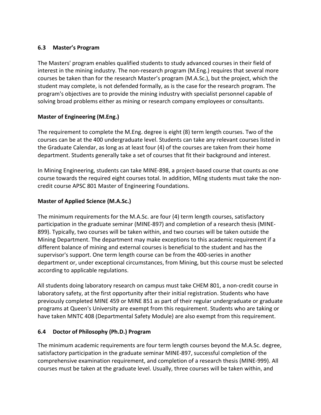# <span id="page-11-0"></span>**6.3 Master's Program**

The Masters' program enables qualified students to study advanced courses in their field of interest in the mining industry. The non-research program (M.Eng.) requires that several more courses be taken than for the research Master's program (M.A.Sc.), but the project, which the student may complete, is not defended formally, as is the case for the research program. The program's objectives are to provide the mining industry with specialist personnel capable of solving broad problems either as mining or research company employees or consultants.

# **Master of Engineering (M.Eng.)**

The requirement to complete the M.Eng. degree is eight (8) term length courses. Two of the courses can be at the 400 undergraduate level. Students can take any relevant courses listed in the Graduate Calendar, as long as at least four (4) of the courses are taken from their home department. Students generally take a set of courses that fit their background and interest.

In Mining Engineering, students can take MINE-898, a project-based course that counts as one course towards the required eight courses total. In addition, MEng students must take the noncredit course APSC 801 Master of Engineering Foundations.

# **Master of Applied Science (M.A.Sc.)**

The minimum requirements for the M.A.Sc. are four (4) term length courses, satisfactory participation in the graduate seminar (MINE-897) and completion of a research thesis (MINE-899). Typically, two courses will be taken within, and two courses will be taken outside the Mining Department. The department may make exceptions to this academic requirement if a different balance of mining and external courses is beneficial to the student and has the supervisor's support. One term length course can be from the 400-series in another department or, under exceptional circumstances, from Mining, but this course must be selected according to applicable regulations.

All students doing laboratory research on campus must take CHEM 801, a non-credit course in laboratory safety, at the first opportunity after their initial registration. Students who have previously completed MINE 459 or MINE 851 as part of their regular undergraduate or graduate programs at Queen's University are exempt from this requirement. Students who are taking or have taken MNTC 408 (Departmental Safety Module) are also exempt from this requirement.

# <span id="page-11-1"></span>**6.4 Doctor of Philosophy (Ph.D.) Program**

The minimum academic requirements are four term length courses beyond the M.A.Sc. degree, satisfactory participation in the graduate seminar MINE-897, successful completion of the comprehensive examination requirement, and completion of a research thesis (MINE-999). All courses must be taken at the graduate level. Usually, three courses will be taken within, and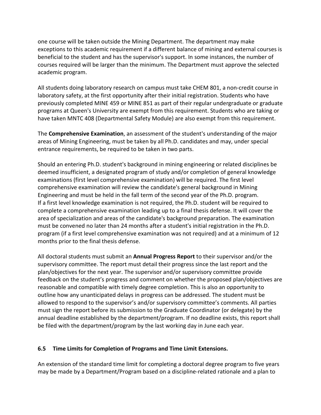one course will be taken outside the Mining Department. The department may make exceptions to this academic requirement if a different balance of mining and external courses is beneficial to the student and has the supervisor's support. In some instances, the number of courses required will be larger than the minimum. The Department must approve the selected academic program.

All students doing laboratory research on campus must take CHEM 801, a non-credit course in laboratory safety, at the first opportunity after their initial registration. Students who have previously completed MINE 459 or MINE 851 as part of their regular undergraduate or graduate programs at Queen's University are exempt from this requirement. Students who are taking or have taken MNTC 408 (Departmental Safety Module) are also exempt from this requirement.

The **Comprehensive Examination**, an assessment of the student's understanding of the major areas of Mining Engineering, must be taken by all Ph.D. candidates and may, under special entrance requirements, be required to be taken in two parts.

Should an entering Ph.D. student's background in mining engineering or related disciplines be deemed insufficient, a designated program of study and/or completion of general knowledge examinations (first level comprehensive examination) will be required. The first level comprehensive examination will review the candidate's general background in Mining Engineering and must be held in the fall term of the second year of the Ph.D. program. If a first level knowledge examination is not required, the Ph.D. student will be required to complete a comprehensive examination leading up to a final thesis defense. It will cover the area of specialization and areas of the candidate's background preparation. The examination must be convened no later than 24 months after a student's initial registration in the Ph.D. program (if a first level comprehensive examination was not required) and at a minimum of 12 months prior to the final thesis defense.

All doctoral students must submit an **Annual Progress Report** to their supervisor and/or the supervisory committee. The report must detail their progress since the last report and the plan/objectives for the next year. The supervisor and/or supervisory committee provide feedback on the student's progress and comment on whether the proposed plan/objectives are reasonable and compatible with timely degree completion. This is also an opportunity to outline how any unanticipated delays in progress can be addressed. The student must be allowed to respond to the supervisor's and/or supervisory committee's comments. All parties must sign the report before its submission to the Graduate Coordinator (or delegate) by the annual deadline established by the department/program. If no deadline exists, this report shall be filed with the department/program by the last working day in June each year.

# <span id="page-12-0"></span>**6.5 Time Limits for Completion of Programs and Time Limit Extensions.**

An extension of the standard time limit for completing a doctoral degree program to five years may be made by a Department/Program based on a discipline-related rationale and a plan to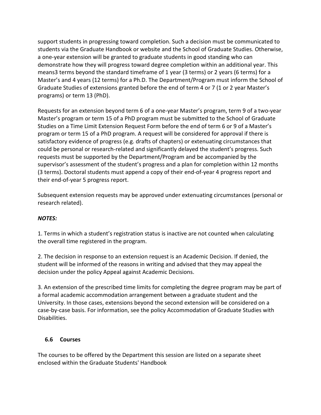support students in progressing toward completion. Such a decision must be communicated to students via the Graduate Handbook or website and the School of Graduate Studies. Otherwise, a one-year extension will be granted to graduate students in good standing who can demonstrate how they will progress toward degree completion within an additional year. This means3 terms beyond the standard timeframe of 1 year (3 terms) or 2 years (6 terms) for a Master's and 4 years (12 terms) for a Ph.D. The Department/Program must inform the School of Graduate Studies of extensions granted before the end of term 4 or 7 (1 or 2 year Master's programs) or term 13 (PhD).

Requests for an extension beyond term 6 of a one-year Master's program, term 9 of a two-year Master's program or term 15 of a PhD program must be submitted to the School of Graduate Studies on a Time Limit Extension Request Form before the end of term 6 or 9 of a Master's program or term 15 of a PhD program. A request will be considered for approval if there is satisfactory evidence of progress (e.g. drafts of chapters) or extenuating circumstances that could be personal or research-related and significantly delayed the student's progress. Such requests must be supported by the Department/Program and be accompanied by the supervisor's assessment of the student's progress and a plan for completion within 12 months (3 terms). Doctoral students must append a copy of their end-of-year 4 progress report and their end-of-year 5 progress report.

Subsequent extension requests may be approved under extenuating circumstances (personal or research related).

# *NOTES:*

1. Terms in which a student's registration status is inactive are not counted when calculating the overall time registered in the program.

2. The decision in response to an extension request is an Academic Decision. If denied, the student will be informed of the reasons in writing and advised that they may appeal the decision under the policy Appeal against Academic Decisions.

3. An extension of the prescribed time limits for completing the degree program may be part of a formal academic accommodation arrangement between a graduate student and the University. In those cases, extensions beyond the second extension will be considered on a case-by-case basis. For information, see the policy Accommodation of Graduate Studies with Disabilities.

#### <span id="page-13-0"></span>**6.6 Courses**

The courses to be offered by the Department this session are listed on a separate sheet enclosed within the Graduate Students' Handbook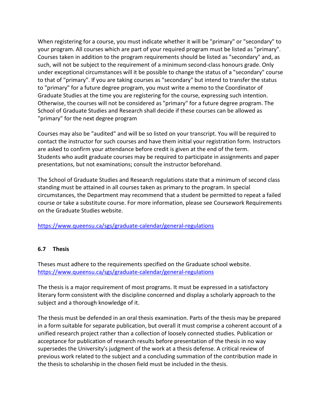When registering for a course, you must indicate whether it will be "primary" or "secondary" to your program. All courses which are part of your required program must be listed as "primary". Courses taken in addition to the program requirements should be listed as "secondary" and, as such, will not be subject to the requirement of a minimum second-class honours grade. Only under exceptional circumstances will it be possible to change the status of a "secondary" course to that of "primary". If you are taking courses as "secondary" but intend to transfer the status to "primary" for a future degree program, you must write a memo to the Coordinator of Graduate Studies at the time you are registering for the course, expressing such intention. Otherwise, the courses will not be considered as "primary" for a future degree program. The School of Graduate Studies and Research shall decide if these courses can be allowed as "primary" for the next degree program

Courses may also be "audited" and will be so listed on your transcript. You will be required to contact the instructor for such courses and have them initial your registration form. Instructors are asked to confirm your attendance before credit is given at the end of the term. Students who audit graduate courses may be required to participate in assignments and paper presentations, but not examinations; consult the instructor beforehand.

The School of Graduate Studies and Research regulations state that a minimum of second class standing must be attained in all courses taken as primary to the program. In special circumstances, the Department may recommend that a student be permitted to repeat a failed course or take a substitute course. For more information, please see Coursework Requirements on the Graduate Studies website.

<https://www.queensu.ca/sgs/graduate-calendar/general-regulations>

# <span id="page-14-0"></span>**6.7 Thesis**

Theses must adhere to the requirements specified on the Graduate school website. <https://www.queensu.ca/sgs/graduate-calendar/general-regulations>

The thesis is a major requirement of most programs. It must be expressed in a satisfactory literary form consistent with the discipline concerned and display a scholarly approach to the subject and a thorough knowledge of it.

The thesis must be defended in an oral thesis examination. Parts of the thesis may be prepared in a form suitable for separate publication, but overall it must comprise a coherent account of a unified research project rather than a collection of loosely connected studies. Publication or acceptance for publication of research results before presentation of the thesis in no way supersedes the University's judgment of the work at a thesis defense. A critical review of previous work related to the subject and a concluding summation of the contribution made in the thesis to scholarship in the chosen field must be included in the thesis.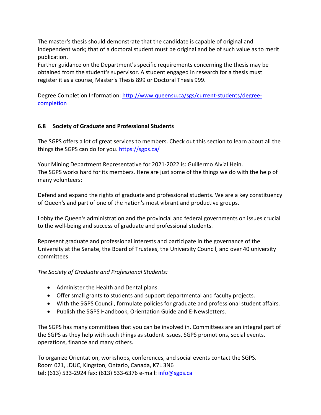The master's thesis should demonstrate that the candidate is capable of original and independent work; that of a doctoral student must be original and be of such value as to merit publication.

Further guidance on the Department's specific requirements concerning the thesis may be obtained from the student's supervisor. A student engaged in research for a thesis must register it as a course, Master's Thesis 899 or Doctoral Thesis 999.

Degree Completion Information: [http://www.queensu.ca/sgs/current-students/degree](http://www.queensu.ca/sgs/current-students/degree-completion)[completion](http://www.queensu.ca/sgs/current-students/degree-completion)

# <span id="page-15-0"></span>**6.8 Society of Graduate and Professional Students**

The SGPS offers a lot of great services to members. Check out this section to learn about all the things the SGPS can do for you. <https://sgps.ca/>

Your Mining Department Representative for 2021-2022 is: Guillermo Alvial Hein. The SGPS works hard for its members. Here are just some of the things we do with the help of many volunteers:

Defend and expand the rights of graduate and professional students. We are a key constituency of Queen's and part of one of the nation's most vibrant and productive groups.

Lobby the Queen's administration and the provincial and federal governments on issues crucial to the well-being and success of graduate and professional students.

Represent graduate and professional interests and participate in the governance of the University at the Senate, the Board of Trustees, the University Council, and over 40 university committees.

# *The Society of Graduate and Professional Students:*

- Administer the [Health and Dental](http://www.sgps.ca/health/) plans.
- Offer small [grants](http://www.sgps.ca/services/awards.html) to students and support departmental and faculty projects.
- With the [SGPS Council,](http://www.sgps.ca/council/) formulate policies for graduate and professional student affairs.
- Publish the SGPS Handbook, [Orientation Guide](http://www.sgps.ca/orientation/downloads/10-11-oguide-1up.pdf) and [E-Newsletters.](http://www.sgps.ca/events/newsletter.html)

The SGPS has many [committees](http://www.sgps.ca/jobs/committees.html) that you can be involved in. Committees are an integral part of the SGPS as they help with such things as student issues, SGPS promotions, social events, operations, finance and many others.

To organize [Orientation,](http://www.sgps.ca/orientation/) workshops, conferences, and [social events](http://www.sgps.ca/events/social.html) contact the SGPS. Room 021, JDUC, Kingston, Ontario, Canada, K7L 3N6 tel: (613) 533-2924 fax: (613) 533-6376 e-mail: [info@sgps.ca](mailto:info@sgps.ca)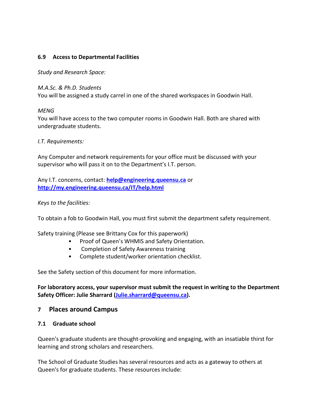## <span id="page-16-0"></span>**6.9 Access to Departmental Facilities**

*Study and Research Space:*

#### *M.A.Sc. & Ph.D. Students*

You will be assigned a study carrel in one of the shared workspaces in Goodwin Hall.

## *MENG*

You will have access to the two computer rooms in Goodwin Hall. Both are shared with undergraduate students.

## *I.T. Requirements:*

Any Computer and network requirements for your office must be discussed with your supervisor who will pass it on to the Department's I.T. person.

Any I.T. concerns, contact: **[help@engineering.queensu.ca](mailto:help@appsci.queensu.ca)** or **<http://my.engineering.queensu.ca/IT/help.html>**

## *Keys to the facilities:*

To obtain a fob to Goodwin Hall, you must first submit the department safety requirement.

Safety training (Please see Brittany Cox for this paperwork)

- Proof of Queen's WHMIS and Safety Orientation.
- Completion of Safety Awareness training
- Complete student/worker orientation checklist.

See the Safety section of this document for more information.

**For laboratory access, your supervisor must submit the request in writing to the Department Safety Officer: Julie Sharrard [\(Julie.sharrard@queensu.ca\)](mailto:Julie.sharrard@queensu.ca).** 

# <span id="page-16-1"></span>**7 Places around Campus**

#### <span id="page-16-2"></span>**7.1 Graduate school**

Queen's graduate students are thought-provoking and engaging, with an insatiable thirst for learning and strong scholars and researchers.

The School of Graduate Studies has several resources and acts as a gateway to others at Queen's for graduate students. These resources include: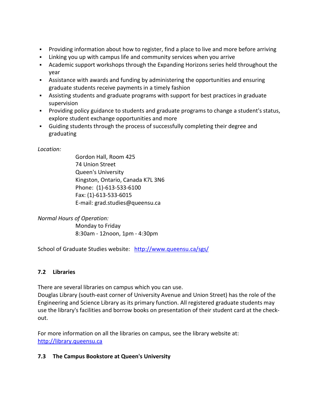- Providing information about [how to register,](http://www.queensu.ca/sgs/forstudents/NewCurrentStudents/acceptednowwhat.html) [find a place to live](http://www.queensu.ca/sgs/forstudents/NewCurrentStudents/beforearriving.html) and more before arriving
- Linking you up with [campus life](http://www.queensu.ca/sgs/forstudents/NewCurrentStudents/campuslife.html) and community services [when you arrive](http://www.queensu.ca/sgs/forstudents/NewCurrentStudents/whenyouarrive.html)
- [Academic support workshops through the Expanding Horizons series](http://www.queensu.ca/sgs/academicsupport/expandinghorizons.html) held throughout the year
- Assistance with [awards and funding](http://www.queensu.ca/sgs/forstudents/prospectivestudents/funding.html) by administering the opportunities and ensuring graduate students receive payments in a timely fashion
- Assisting students and graduate programs with support for best practices in [graduate](http://www.queensu.ca/sgs/forfacultyandstaff/gradsupervision.html)  [supervision](http://www.queensu.ca/sgs/forfacultyandstaff/gradsupervision.html)
- Providing policy guidance to students and graduate programs to [change a student's status,](http://www.queensu.ca/sgs/forstudents/NewCurrentStudents/changestatus.html) explore student [exchange opportunities](http://www.queensu.ca/sgs/forstudents/NewCurrentStudents/exchanges.html) and more
- Guiding students through the process of successfully [completing their degree](http://www.queensu.ca/sgs/forstudents/NewCurrentStudents/completingyourdegree.html) and [graduating](http://www.queensu.ca/sgs/forstudents/NewCurrentStudents/convocation.html)

# *Location:*

Gordon Hall, Room 425 74 Union Street Queen's University Kingston, Ontario, Canada K7L 3N6 Phone: (1)-613-533-6100 Fax: (1)-613-533-6015 E-mail: [grad.studies@queensu.ca](mailto:grad.studies@queensu.ca)

*Normal Hours of Operation:*

Monday to Friday 8:30am - 12noon, 1pm - 4:30pm

School of Graduate Studies website: <http://www.queensu.ca/sgs/>

# <span id="page-17-0"></span>**7.2 Libraries**

There are several libraries on campus which you can use.

Douglas Library (south-east corner of University Avenue and Union Street) has the role of the Engineering and Science Library as its primary function. All registered graduate students may use the library's facilities and borrow books on presentation of their student card at the checkout.

For more information on all the libraries on campus, see the library website at: [http://library.queensu.ca](http://library.queensu.ca/)

# <span id="page-17-1"></span>**7.3 The Campus Bookstore at Queen's University**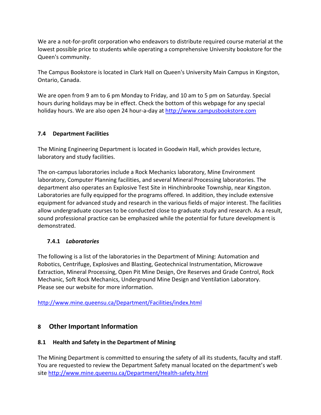We are a not-for-profit corporation who endeavors to distribute required course material at the lowest possible price to students while operating a comprehensive University bookstore for the Queen's community.

The Campus Bookstore is located in Clark Hall on Queen's University Main Campus in Kingston, Ontario, Canada.

We are open from 9 am to 6 pm Monday to Friday, and 10 am to 5 pm on Saturday. Special hours during holidays may be in effect. Check the bottom of this webpage for any special holiday hours. We are also open 24 hour-a-day at [http://www.campusbookstore.com](http://www.campusbookstore.com/)

# <span id="page-18-0"></span>**7.4 Department Facilities**

The Mining Engineering Department is located in Goodwin Hall, which provides lecture, laboratory and study facilities.

The on-campus laboratories include a Rock Mechanics laboratory, Mine Environment laboratory, Computer Planning facilities, and several Mineral Processing laboratories. The department also operates an Explosive Test Site in Hinchinbrooke Township, near Kingston. Laboratories are fully equipped for the programs offered. In addition, they include extensive equipment for advanced study and research in the various fields of major interest. The facilities allow undergraduate courses to be conducted close to graduate study and research. As a result, sound professional practice can be emphasized while the potential for future development is demonstrated.

# <span id="page-18-1"></span>**7.4.1** *[Laboratories](http://www.mine.queensu.ca/Department/Facilities/Laboratories.html)*

The following is a list of the laboratories in the Department of Mining: Automation and Robotics, Centrifuge, Explosives and Blasting, Geotechnical Instrumentation, Microwave Extraction, Mineral Processing, Open Pit Mine Design, Ore Reserves and Grade Control, Rock Mechanic, Soft Rock Mechanics, Underground Mine Design and Ventilation Laboratory. [Please see our website for more information.](http://www.mine.queensu.ca/Department/Facilities/Laboratories.html) 

<http://www.mine.queensu.ca/Department/Facilities/index.html>

# <span id="page-18-2"></span>**8 Other Important Information**

# <span id="page-18-3"></span>**8.1 Health and Safety in the Department of Mining**

The Mining Department is committed to ensuring the safety of all its students, faculty and staff. You are requested to review the Department Safety manual located on the department's web site<http://www.mine.queensu.ca/Department/Health-safety.html>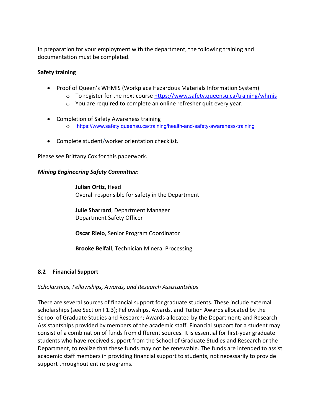In preparation for your employment with the department, the following training and documentation must be completed.

# **Safety training**

- Proof of Queen's WHMIS (Workplace Hazardous Materials Information System)
	- $\circ$  To register for the next course<https://www.safety.queensu.ca/training/whmis>
	- o You are required to complete an online refresher quiz every year.
- Completion of Safety Awareness training
	- o <https://www.safety.queensu.ca/training/health-and-safety-awareness-training>
- Complete student/worker orientation checklist.

Please see Brittany Cox for this paperwork.

#### <span id="page-19-0"></span>*Mining Engineering Safety Committee***:**

**Julian Ortiz,** Head Overall responsible for safety in the Department

**[Julie Sharrard](mailto:wanda.badger@mine.queensu.ca)**, Department Manager Department Safety Officer

**[Oscar Rielo](mailto:oscar.rielo@mine.queensu.ca)**, Senior Program Coordinator

**Brooke Belfall**, Technician Mineral Processing

# <span id="page-19-1"></span>**8.2 Financial Support**

#### *Scholarships, Fellowships, Awards, and Research Assistantships*

There are several sources of financial support for graduate students. These include external scholarships (see Section I 1.3); Fellowships, Awards, and Tuition Awards allocated by the School of Graduate Studies and Research; Awards allocated by the Department; and Research Assistantships provided by members of the academic staff. Financial support for a student may consist of a combination of funds from different sources. It is essential for first-year graduate students who have received support from the School of Graduate Studies and Research or the Department, to realize that these funds may not be renewable. The funds are intended to assist academic staff members in providing financial support to students, not necessarily to provide support throughout entire programs.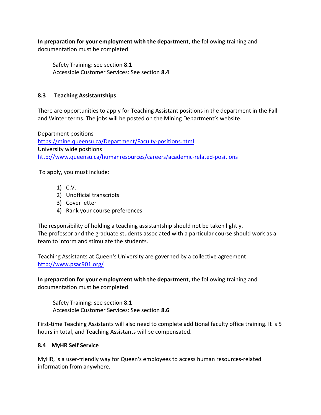**In preparation for your employment with the department**, the following training and documentation must be completed.

<span id="page-20-0"></span>Safety Training: see section **8.1** Accessible Customer Services: See section **8.4**

# <span id="page-20-1"></span>**8.3 Teaching Assistantships**

There are opportunities to apply for Teaching Assistant positions in the department in the Fall and Winter terms. The jobs will be posted on the Mining Department's website.

Department positions <https://mine.queensu.ca/Department/Faculty-positions.html> University wide positions <http://www.queensu.ca/humanresources/careers/academic-related-positions>

To apply, you must include:

- 1) C.V.
- 2) Unofficial transcripts
- 3) Cover letter
- 4) Rank your course preferences

The responsibility of holding a teaching assistantship should not be taken lightly. The professor and the graduate students associated with a particular course should work as a team to inform and stimulate the students.

Teaching Assistants at Queen's University are governed by a collective agreement <http://www.psac901.org/>

**In preparation for your employment with the department**, the following training and documentation must be completed.

Safety Training: see section **8.1** Accessible Customer Services: See section **8.6** 

<span id="page-20-2"></span>First-time Teaching Assistants will also need to complete additional faculty office training. It is 5 hours in total, and Teaching Assistants will be compensated.

# <span id="page-20-3"></span>**8.4 MyHR Self Service**

MyHR, is a user-friendly way for Queen's employees to access human resources-related information from anywhere.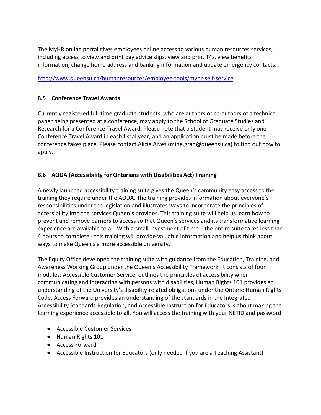The MyHR online portal gives employees online access to various human resources services, including access to view and print pay advice slips, view and print T4s, view benefits information, change home address and banking information and update emergency contacts.

# <http://www.queensu.ca/humanresources/employee-tools/myhr-self-service>

# <span id="page-21-0"></span>**8.5 Conference Travel Awards**

Currently registered full-time graduate students, who are authors or co-authors of a technical paper being presented at a conference, may apply to the School of Graduate Studies and Research for a Conference Travel Award. Please note that a student may receive only one Conference Travel Award in each fiscal year, and an application must be made before the conference takes place. Please contact Alicia Alves (mine.grad@queensu.ca) to find out how to apply.

# <span id="page-21-1"></span>**8.6 AODA (Accessibility for Ontarians with Disabilities Act) Training**

A newly launched accessibility training suite gives the Queen's community easy access to the training they require under the AODA. The training provides information about everyone's responsibilities under the legislation and illustrates ways to incorporate the principles of accessibility into the services Queen's provides. This training suite will help us learn how to prevent and remove barriers to access so that Queen's services and its transformative learning experience are available to all. With a small investment of time – the entire suite takes less than 4 hours to complete - this training will provide valuable information and help us think about ways to make Queen's a more accessible university.

The Equity Office developed the training suite with guidance from the Education, Training, and Awareness Working Group under the Queen's Accessibility Framework. It consists of four modules: Accessible Customer Service, outlines the principles of accessibility when communicating and interacting with persons with disabilities, Human Rights 101 provides an understanding of the University's disability-related obligations under the Ontario Human Rights Code, Access Forward provides an understanding of the standards in the Integrated Accessibility Standards Regulation, and Accessible Instruction for Educators is about making the learning experience accessible to all. You will access the training with your NETID and password

- <span id="page-21-2"></span>• Accessible Customer Services
- <span id="page-21-3"></span>• Human Rights 101
- <span id="page-21-4"></span>• Access Forward
- <span id="page-21-5"></span>• Accessible Instruction for Educators (only needed if you are a Teaching Assistant)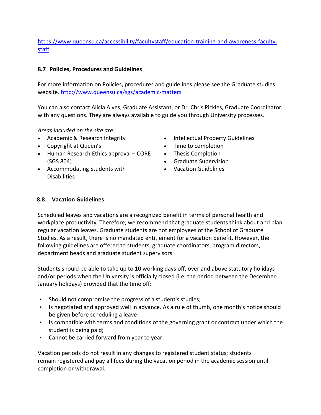# [https://www.queensu.ca/accessibility/facultystaff/education-training-and-awareness-faculty](https://www.queensu.ca/accessibility/facultystaff/education-training-and-awareness-faculty-staff)[staff](https://www.queensu.ca/accessibility/facultystaff/education-training-and-awareness-faculty-staff)

# <span id="page-22-0"></span>**8.7 Policies, Procedures and Guidelines**

For more information on Policies, procedures and guidelines please see the Graduate studies website. <http://www.queensu.ca/sgs/academic-matters>

You can also contact Alicia Alves, Graduate Assistant, or Dr. Chris Pickles, Graduate Coordinator, with any questions. They are always available to guide you through University processes.

*Areas included on the site are:*

- [Academic & Research](http://www.queensu.ca/exph/academic-resources/academic-integrity) Integrity
- [Copyright](http://library.queensu.ca/copyright) at Queen's
- Human Research Ethics [approval CORE](http://www.queensu.ca/sgs/core) [\(SGS](http://www.queensu.ca/sgs/core) 804)
- [Accommodating](http://www.queensu.ca/calendars/sgsr/Accommodating_of_Graduate_Students_with_Disabilities.html) Students with **[Disabilities](http://www.queensu.ca/calendars/sgsr/Accommodating_of_Graduate_Students_with_Disabilities.html)**
- [Intellectual](http://www.queensu.ca/sgs/sites/webpublish.queensu.ca.sgswww/files/files/Students/Intellectual%20Property%20Guidelines%20at%20Queens%202013.pdf) Property Guidelines
- Time to [completion](http://www.queensu.ca/calendars/sgsr/Time_Limits_for_Completion_of_Programs.html)
- Thesis [Completion](http://www.queensu.ca/calendars/sgsr/Thesis.html)
- Graduate [Supervision](http://www.queensu.ca/sgs/current-students/graduate-supervision)
- Vacation [Guidelines](http://www.queensu.ca/sgs/vacation-guidelines)

# <span id="page-22-1"></span>**8.8 Vacation Guidelines**

Scheduled leaves and vacations are a recognized benefit in terms of personal health and workplace productivity. Therefore, we recommend that graduate students think about and plan regular vacation leaves. Graduate students are not employees of the School of Graduate Studies. As a result, there is no mandated entitlement for a vacation benefit. However, the following guidelines are offered to students, graduate coordinators, program directors, department heads and graduate student supervisors.

Students should be able to take up to 10 working days off, over and above statutory holidays and/or periods when the University is officially closed (i.e. the period between the December-January holidays) provided that the time off:

- Should not compromise the progress of a student's studies;
- Is negotiated and approved well in advance. As a rule of thumb, one month's notice should be given before scheduling a leave
- Is compatible with terms and conditions of the governing grant or contract under which the student is being paid;
- Cannot be carried forward from year to year

Vacation periods do not result in any changes to registered student status; students remain registered and pay all fees during the vacation period in the academic session until completion or withdrawal.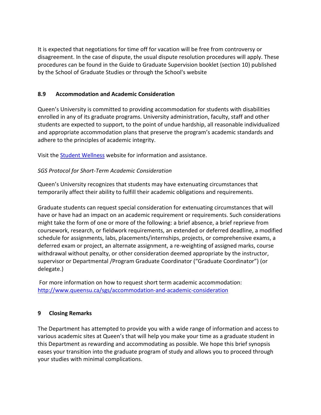It is expected that negotiations for time off for vacation will be free from controversy or disagreement. In the case of dispute, the usual dispute resolution procedures will apply. These procedures can be found in the Guide to Graduate Supervision booklet (section 10) published by the School of Graduate Studies or through the [School's website](http://www.queensu.ca/sgs)

# <span id="page-23-0"></span>**8.9 Accommodation and Academic Consideration**

Queen's University is committed to providing accommodation for students with disabilities enrolled in any of its graduate programs. University administration, faculty, staff and other students are expected to support, to the point of undue hardship, all reasonable individualized and appropriate accommodation plans that preserve the program's academic standards and adhere to the principles of academic integrity.

Visit th[e Student Wellness](https://www.queensu.ca/studentwellness/) website for information and assistance.

## *SGS Protocol for Short-Term Academic Consideration*

Queen's University recognizes that students may have extenuating circumstances that temporarily affect their ability to fulfill their academic obligations and requirements.

Graduate students can request special consideration for extenuating circumstances that will have or have had an impact on an academic requirement or requirements. Such considerations might take the form of one or more of the following: a brief absence, a brief reprieve from coursework, research, or fieldwork requirements, an extended or deferred deadline, a modified schedule for assignments, labs, placements/internships, projects, or comprehensive exams, a deferred exam or project, an alternate assignment, a re-weighting of assigned marks, course withdrawal without penalty, or other consideration deemed appropriate by the instructor, supervisor or Departmental /Program Graduate Coordinator ("Graduate Coordinator") (or delegate.)

For more information on how to request short term academic accommodation: <http://www.queensu.ca/sgs/accommodation-and-academic-consideration>

#### <span id="page-23-1"></span>**9 Closing Remarks**

The Department has attempted to provide you with a wide range of information and access to various academic sites at Queen's that will help you make your time as a graduate student in this Department as rewarding and accommodating as possible. We hope this brief synopsis eases your transition into the graduate program of study and allows you to proceed through your studies with minimal complications.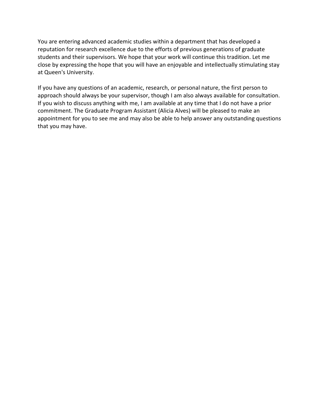You are entering advanced academic studies within a department that has developed a reputation for research excellence due to the efforts of previous generations of graduate students and their supervisors. We hope that your work will continue this tradition. Let me close by expressing the hope that you will have an enjoyable and intellectually stimulating stay at Queen's University.

If you have any questions of an academic, research, or personal nature, the first person to approach should always be your supervisor, though I am also always available for consultation. If you wish to discuss anything with me, I am available at any time that I do not have a prior commitment. The Graduate Program Assistant (Alicia Alves) will be pleased to make an appointment for you to see me and may also be able to help answer any outstanding questions that you may have.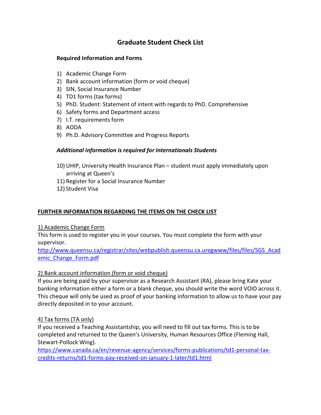# **Graduate Student Check List**

## **Required Information and Forms**

- 1) Academic Change Form
- 2) Bank account information (form or void cheque)
- 3) SIN, Social Insurance Number
- 4) TD1 forms (tax forms)
- 5) PhD. Student: Statement of intent with regards to PhD. Comprehensive
- 6) Safety forms and Department access
- 7) I.T. requirements form
- 8) AODA
- 9) Ph.D. Advisory Committee and Progress Reports

# *Additional information is required for Internationals Students*

- 10) UHIP, University Health Insurance Plan student must apply immediately upon arriving at Queen's
- 11) Register for a Social Insurance Number
- 12) Student Visa

# **FURTHER INFORMATION REGARDING THE ITEMS ON THE CHECK LIST**

# 1) Academic Change Form

This form is used to register you in your courses. You must complete the form with your supervisor.

[http://www.queensu.ca/registrar/sites/webpublish.queensu.ca.uregwww/files/files/SGS\\_Acad](http://www.queensu.ca/registrar/sites/webpublish.queensu.ca.uregwww/files/files/SGS_Academic_Change_Form.pdf) [emic\\_Change\\_Form.pdf](http://www.queensu.ca/registrar/sites/webpublish.queensu.ca.uregwww/files/files/SGS_Academic_Change_Form.pdf)

# 2) Bank account information (form or void cheque)

If you are being paid by your supervisor as a Research Assistant (RA), please bring Kate your banking information either a form or a blank cheque, you should write the word VOID across it. This cheque will only be used as proof of your banking information to allow us to have your pay directly deposited in to your account.

# 4) Tax forms (TA only)

If you received a Teaching Assistantship, you will need to fill out tax forms. This is to be completed and returned to the Queen's University, Human Resources Office (Fleming Hall, Stewart-Pollock Wing).

[https://www.canada.ca/en/revenue-agency/services/forms-publications/td1-personal-tax](https://www.canada.ca/en/revenue-agency/services/forms-publications/td1-personal-tax-credits-returns/td1-forms-pay-received-on-january-1-later/td1.html)[credits-returns/td1-forms-pay-received-on-january-1-later/td1.html](https://www.canada.ca/en/revenue-agency/services/forms-publications/td1-personal-tax-credits-returns/td1-forms-pay-received-on-january-1-later/td1.html)